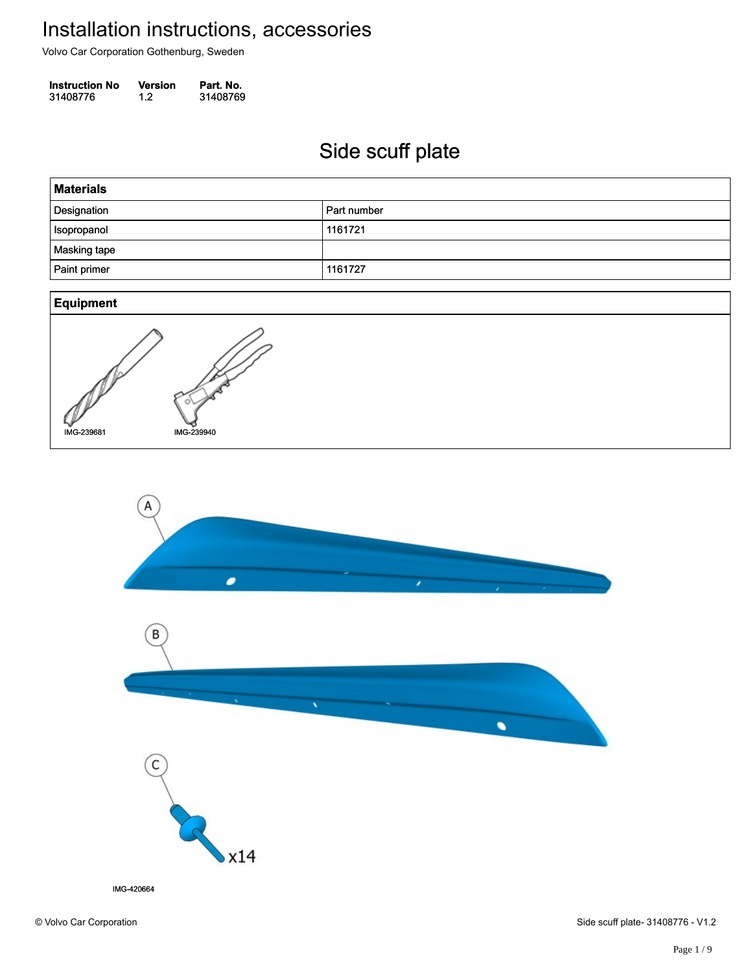Volvo Car Corporation Gothenburg, Sweden

**Instruction No** Version Part. No. 31408776 1.2 31408769 314087761.231408769

### Side scuff plate Side scuff plate



IMG-420664

© Volvo Car Corporation Side scuff plate- 31408776 - V1.2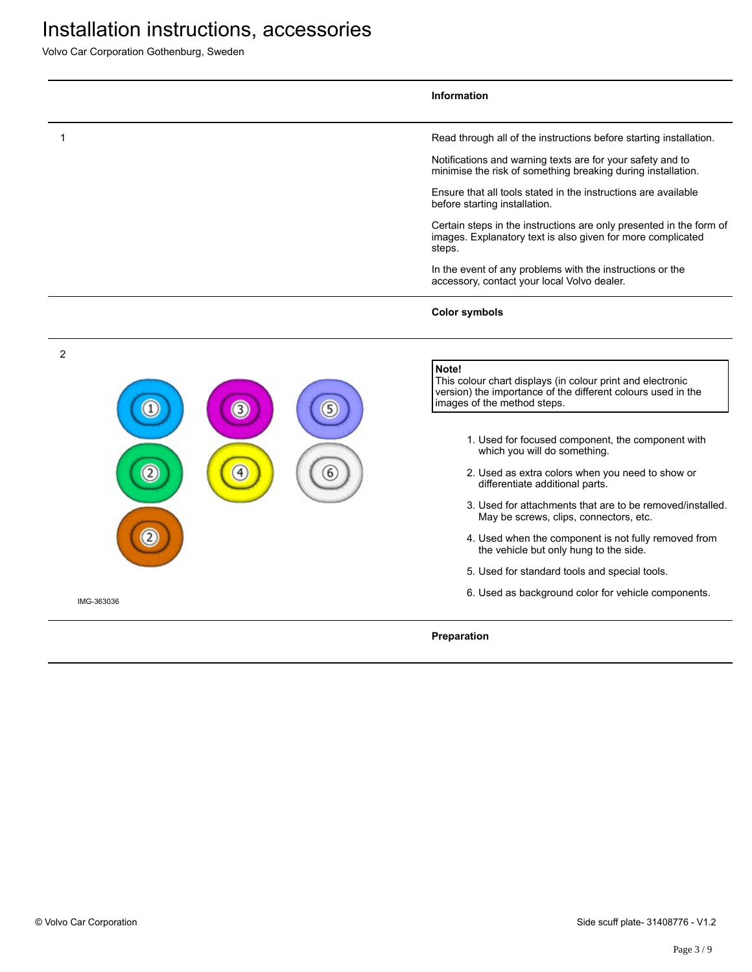|                |                  |   | Information                                                                                                                                                        |
|----------------|------------------|---|--------------------------------------------------------------------------------------------------------------------------------------------------------------------|
|                |                  |   | Read through all of the instructions before starting installation.                                                                                                 |
|                |                  |   | Notifications and warning texts are for your safety and to<br>minimise the risk of something breaking during installation.                                         |
|                |                  |   | Ensure that all tools stated in the instructions are available<br>before starting installation.                                                                    |
|                |                  |   | Certain steps in the instructions are only presented in the form of<br>images. Explanatory text is also given for more complicated<br>steps.                       |
|                |                  |   | In the event of any problems with the instructions or the<br>accessory, contact your local Volvo dealer.                                                           |
|                |                  |   | <b>Color symbols</b>                                                                                                                                               |
| $\overline{2}$ |                  |   |                                                                                                                                                                    |
|                | $\left(3\right)$ | 5 | Note!<br>This colour chart displays (in colour print and electronic<br>version) the importance of the different colours used in the<br>images of the method steps. |
|                |                  |   | 1. Used for focused component, the component with<br>which you will do something.                                                                                  |
| 2              | 4                | 6 | 2. Used as extra colors when you need to show or<br>differentiate additional parts.                                                                                |
|                |                  |   | 3. Used for attachments that are to be removed/installed.<br>May be screws, clips, connectors, etc.                                                                |
|                |                  |   | 4. Used when the component is not fully removed from<br>the vehicle but only hung to the side.                                                                     |
|                |                  |   | 5. Used for standard tools and special tools.                                                                                                                      |
| IMG-363036     |                  |   | 6. Used as background color for vehicle components.                                                                                                                |
|                |                  |   | Preparation                                                                                                                                                        |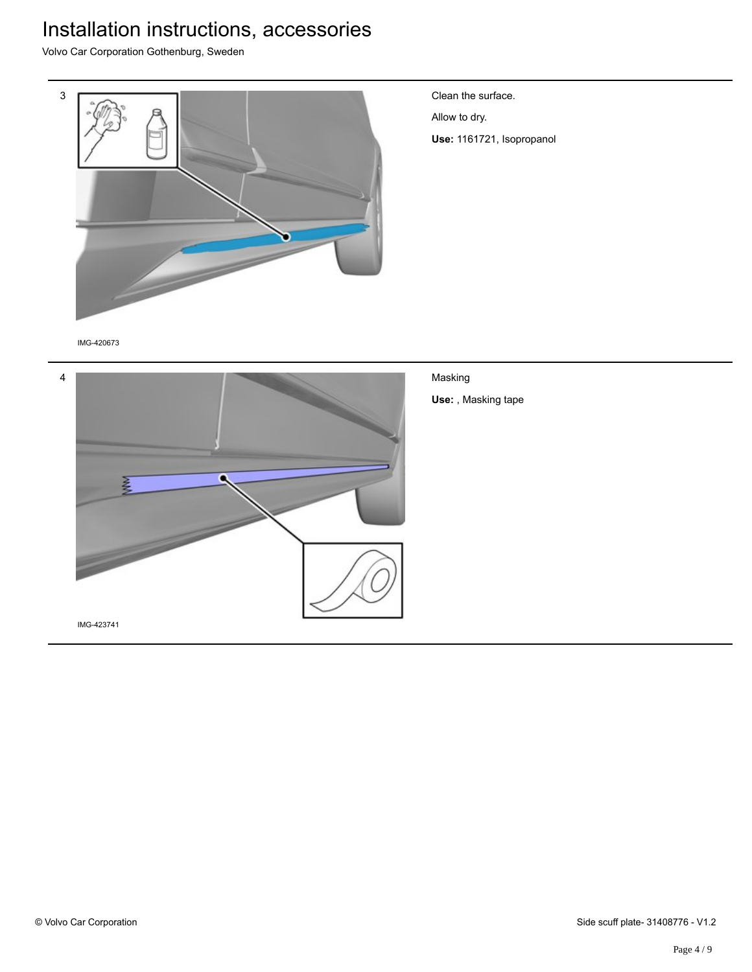Volvo Car Corporation Gothenburg, Sweden



Clean the surface.

Allow to dry.

**Use:** 1161721, Isopropanol

IMG-420673



Masking **Use:** , Masking tape

IMG-423741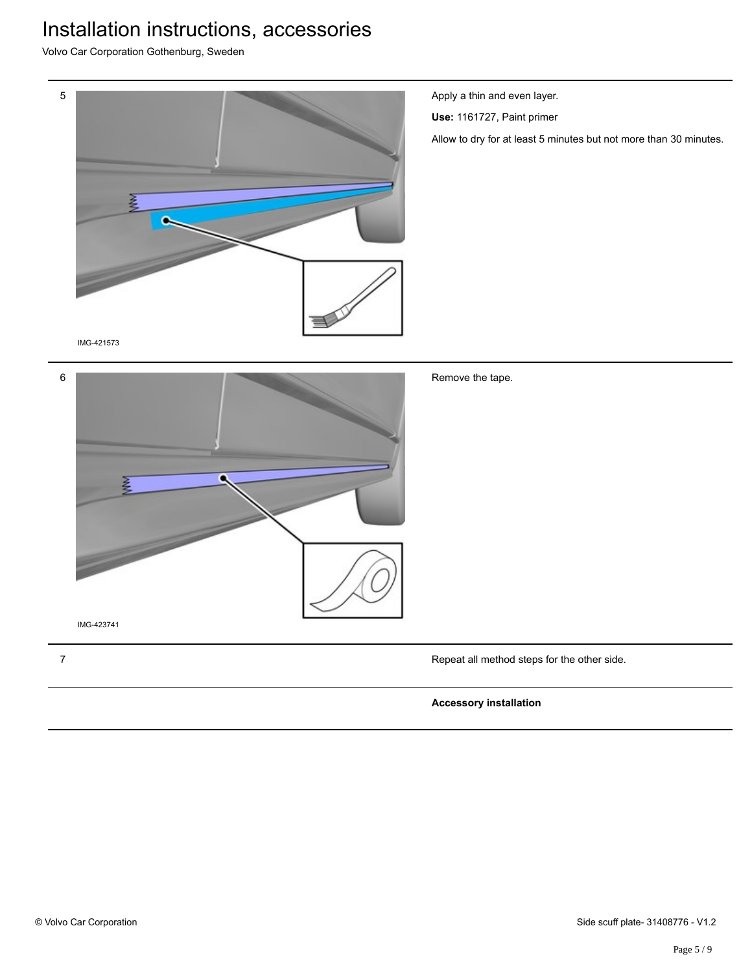Volvo Car Corporation Gothenburg, Sweden



Apply a thin and even layer.

**Use:** 1161727, Paint primer

Allow to dry for at least 5 minutes but not more than 30 minutes.

| 6 |  |
|---|--|
|   |  |
|   |  |
|   |  |
|   |  |
|   |  |
|   |  |
|   |  |
|   |  |

Remove the tape.

7 Repeat all method steps for the other side.

#### **Accessory installation**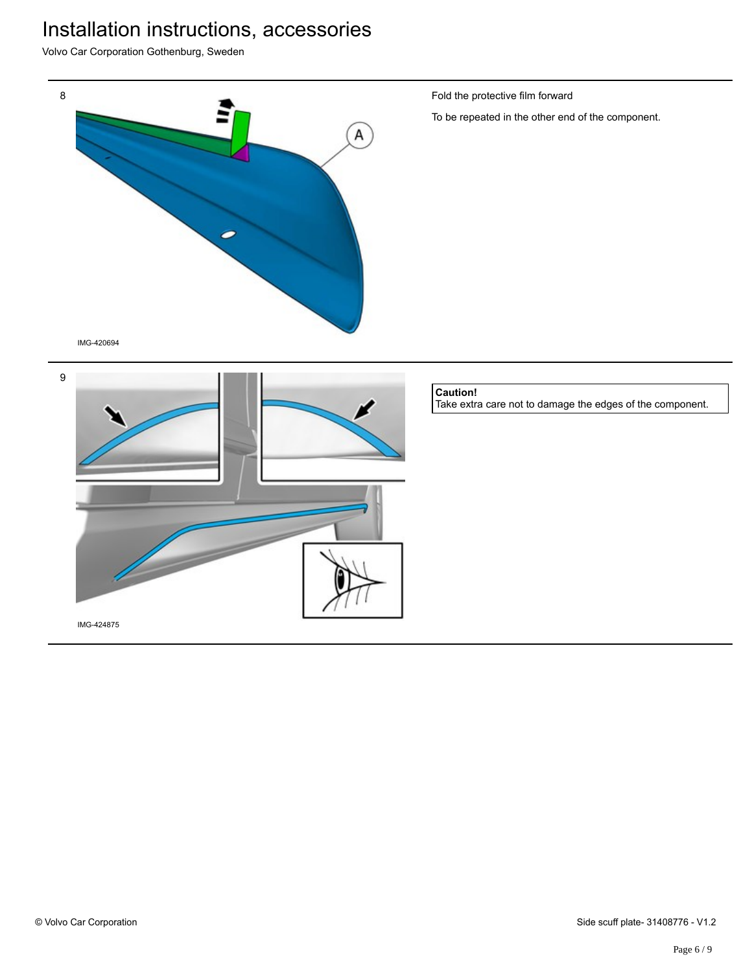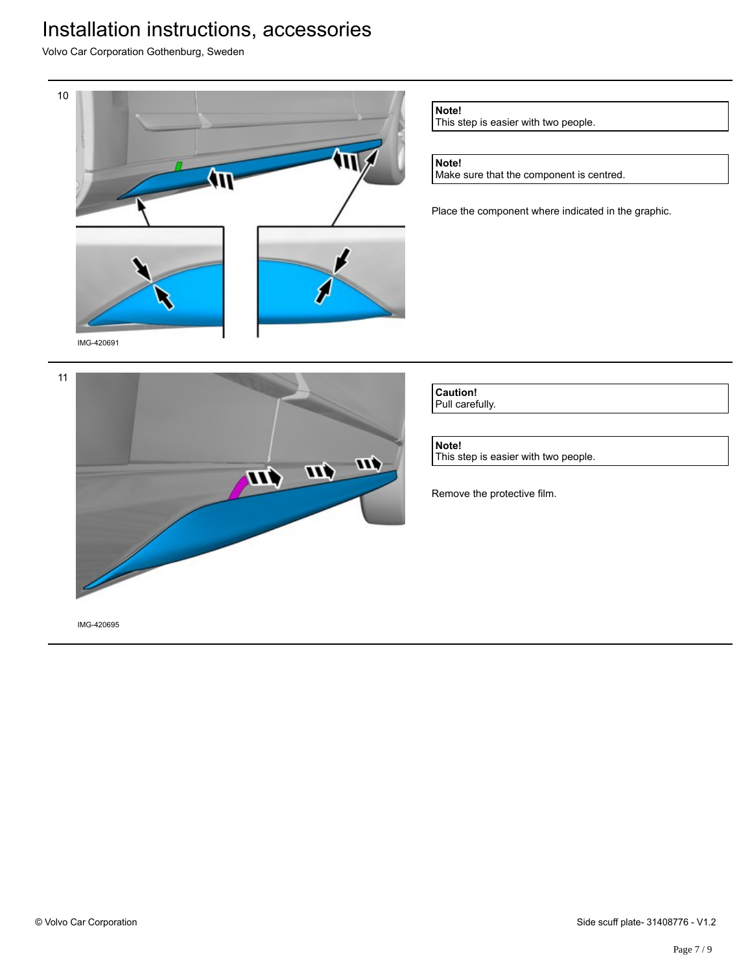Volvo Car Corporation Gothenburg, Sweden



**Note!**

This step is easier with two people.

### **Note!**

Make sure that the component is centred.

Place the component where indicated in the graphic.



**Caution!** Pull carefully.

**Note!** This step is easier with two people.

Remove the protective film.

IMG-420695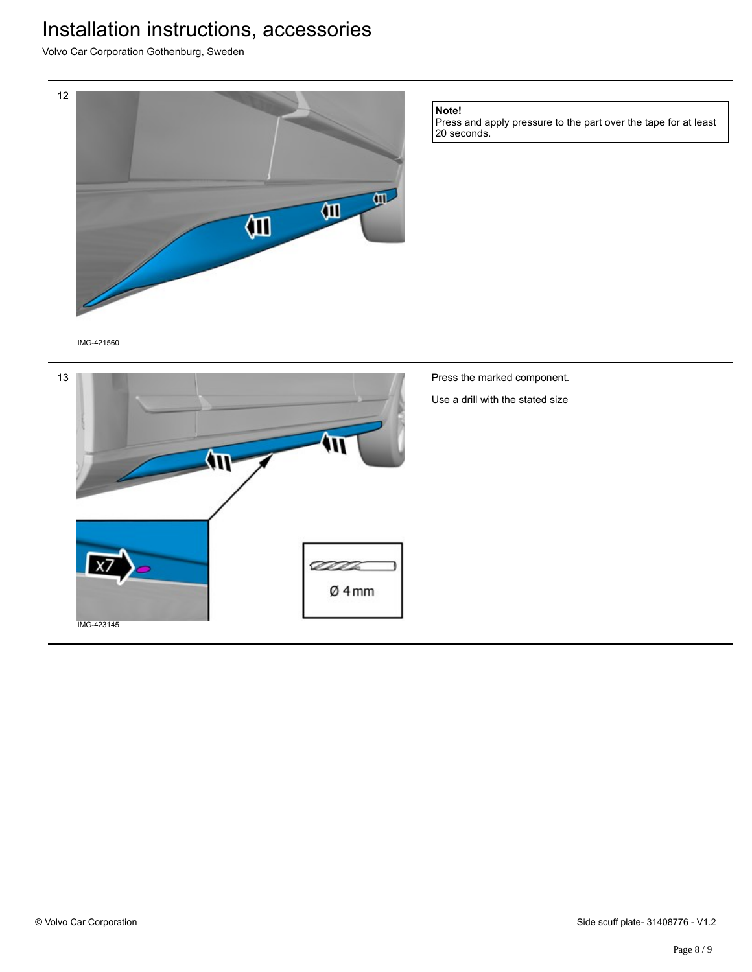